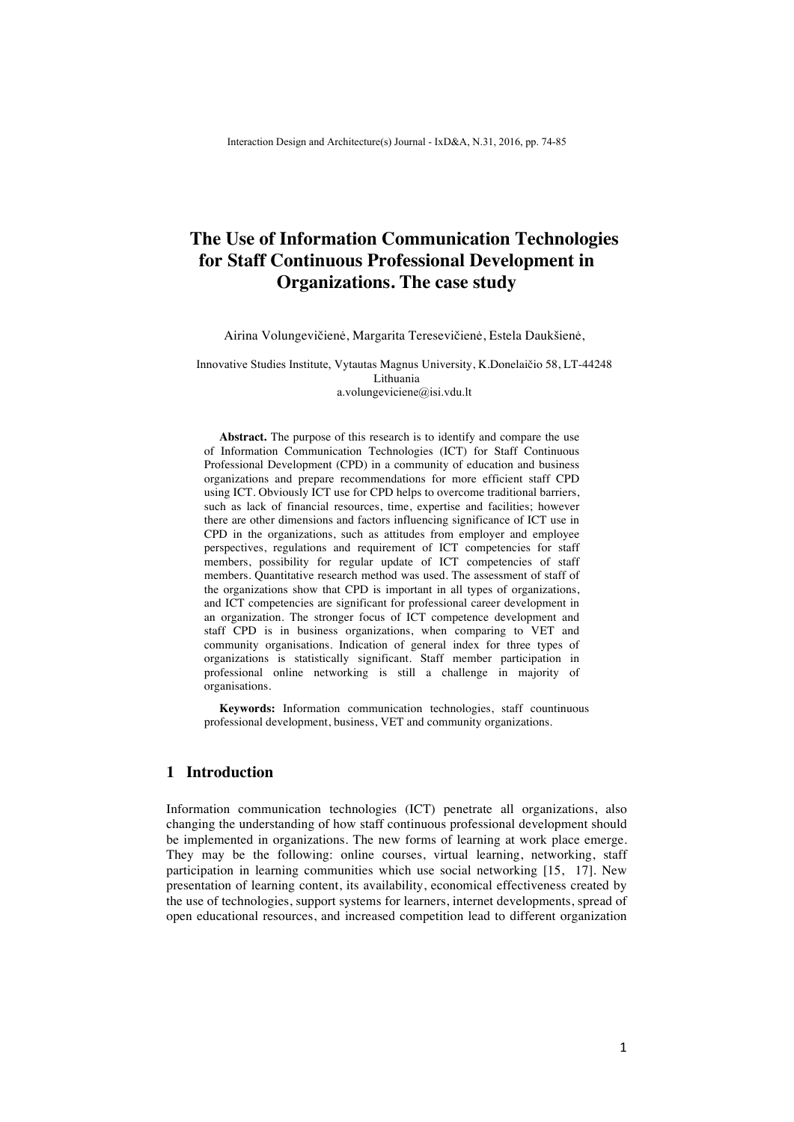# **The Use of Information Communication Technologies for Staff Continuous Professional Development in Organizations. The case study**

Airina Volungevičienė, Margarita Teresevičienė, Estela Daukšienė,

Innovative Studies Institute, Vytautas Magnus University, K.Donelaičio 58, LT-44248 Lithuania a.volungeviciene@isi.vdu.lt

**Abstract.** The purpose of this research is to identify and compare the use of Information Communication Technologies (ICT) for Staff Continuous Professional Development (CPD) in a community of education and business organizations and prepare recommendations for more efficient staff CPD using ICT. Obviously ICT use for CPD helps to overcome traditional barriers, such as lack of financial resources, time, expertise and facilities; however there are other dimensions and factors influencing significance of ICT use in CPD in the organizations, such as attitudes from employer and employee perspectives, regulations and requirement of ICT competencies for staff members, possibility for regular update of ICT competencies of staff members. Quantitative research method was used. The assessment of staff of the organizations show that CPD is important in all types of organizations, and ICT competencies are significant for professional career development in an organization. The stronger focus of ICT competence development and staff CPD is in business organizations, when comparing to VET and community organisations. Indication of general index for three types of organizations is statistically significant. Staff member participation in professional online networking is still a challenge in majority of organisations.

**Keywords:** Information communication technologies, staff countinuous professional development, business, VET and community organizations.

# **1 Introduction**

Information communication technologies (ICT) penetrate all organizations, also changing the understanding of how staff continuous professional development should be implemented in organizations. The new forms of learning at work place emerge. They may be the following: online courses, virtual learning, networking, staff participation in learning communities which use social networking [15, 17]. New presentation of learning content, its availability, economical effectiveness created by the use of technologies, support systems for learners, internet developments, spread of open educational resources, and increased competition lead to different organization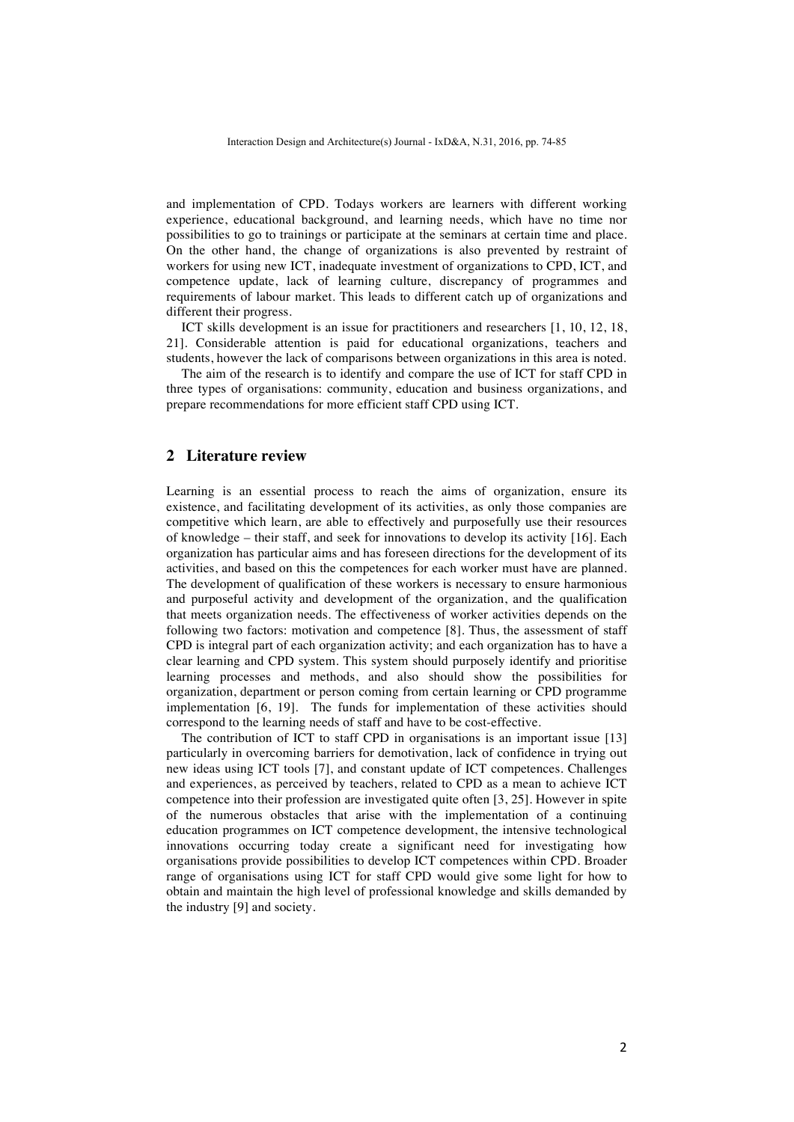and implementation of CPD. Todays workers are learners with different working experience, educational background, and learning needs, which have no time nor possibilities to go to trainings or participate at the seminars at certain time and place. On the other hand, the change of organizations is also prevented by restraint of workers for using new ICT, inadequate investment of organizations to CPD, ICT, and competence update, lack of learning culture, discrepancy of programmes and requirements of labour market. This leads to different catch up of organizations and different their progress.

ICT skills development is an issue for practitioners and researchers [1, 10, 12, 18, 21]. Considerable attention is paid for educational organizations, teachers and students, however the lack of comparisons between organizations in this area is noted.

The aim of the research is to identify and compare the use of ICT for staff CPD in three types of organisations: community, education and business organizations, and prepare recommendations for more efficient staff CPD using ICT.

#### **2 Literature review**

Learning is an essential process to reach the aims of organization, ensure its existence, and facilitating development of its activities, as only those companies are competitive which learn, are able to effectively and purposefully use their resources of knowledge – their staff, and seek for innovations to develop its activity [16]. Each organization has particular aims and has foreseen directions for the development of its activities, and based on this the competences for each worker must have are planned. The development of qualification of these workers is necessary to ensure harmonious and purposeful activity and development of the organization, and the qualification that meets organization needs. The effectiveness of worker activities depends on the following two factors: motivation and competence [8]. Thus, the assessment of staff CPD is integral part of each organization activity; and each organization has to have a clear learning and CPD system. This system should purposely identify and prioritise learning processes and methods, and also should show the possibilities for organization, department or person coming from certain learning or CPD programme implementation [6, 19]. The funds for implementation of these activities should correspond to the learning needs of staff and have to be cost-effective.

The contribution of ICT to staff CPD in organisations is an important issue [13] particularly in overcoming barriers for demotivation, lack of confidence in trying out new ideas using ICT tools [7], and constant update of ICT competences. Challenges and experiences, as perceived by teachers, related to CPD as a mean to achieve ICT competence into their profession are investigated quite often [3, 25]. However in spite of the numerous obstacles that arise with the implementation of a continuing education programmes on ICT competence development, the intensive technological innovations occurring today create a significant need for investigating how organisations provide possibilities to develop ICT competences within CPD. Broader range of organisations using ICT for staff CPD would give some light for how to obtain and maintain the high level of professional knowledge and skills demanded by the industry [9] and society.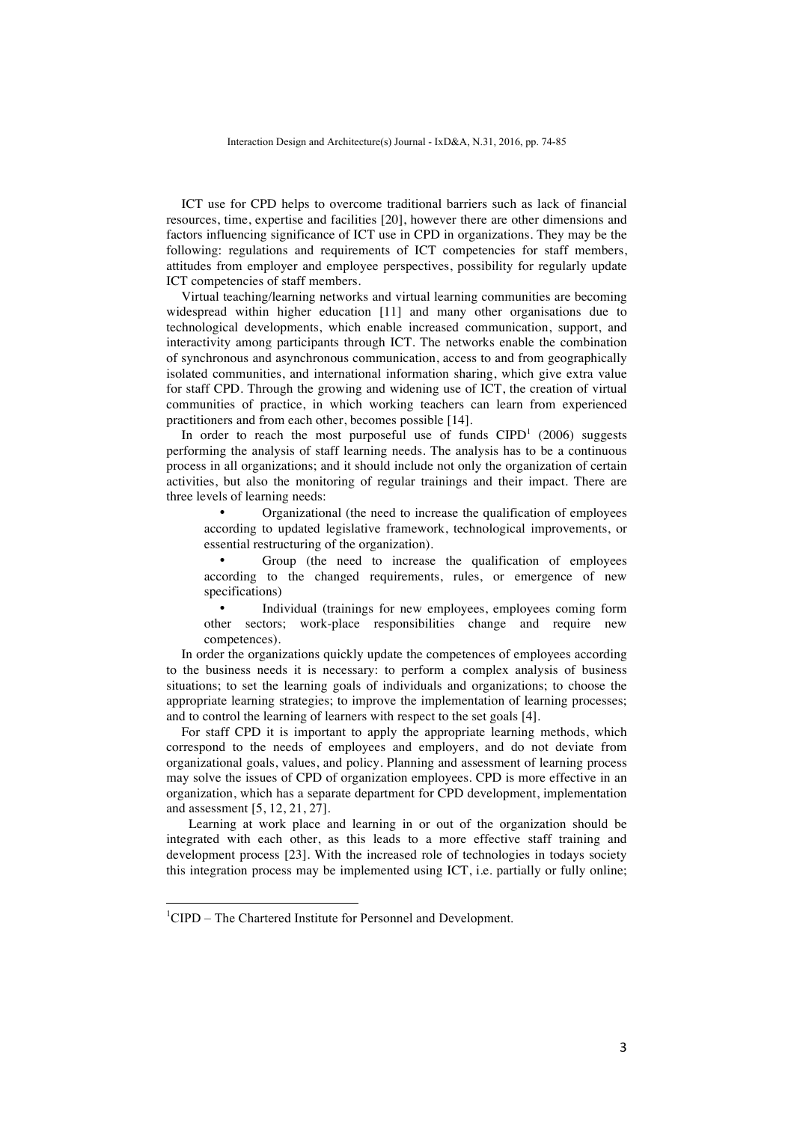ICT use for CPD helps to overcome traditional barriers such as lack of financial resources, time, expertise and facilities [20], however there are other dimensions and factors influencing significance of ICT use in CPD in organizations. They may be the following: regulations and requirements of ICT competencies for staff members, attitudes from employer and employee perspectives, possibility for regularly update ICT competencies of staff members.

Virtual teaching/learning networks and virtual learning communities are becoming widespread within higher education [11] and many other organisations due to technological developments, which enable increased communication, support, and interactivity among participants through ICT. The networks enable the combination of synchronous and asynchronous communication, access to and from geographically isolated communities, and international information sharing, which give extra value for staff CPD. Through the growing and widening use of ICT, the creation of virtual communities of practice, in which working teachers can learn from experienced practitioners and from each other, becomes possible [14].

In order to reach the most purposeful use of funds  $CIPD<sup>1</sup>$  (2006) suggests performing the analysis of staff learning needs. The analysis has to be a continuous process in all organizations; and it should include not only the organization of certain activities, but also the monitoring of regular trainings and their impact. There are three levels of learning needs:

• Organizational (the need to increase the qualification of employees according to updated legislative framework, technological improvements, or essential restructuring of the organization).

• Group (the need to increase the qualification of employees according to the changed requirements, rules, or emergence of new specifications)

Individual (trainings for new employees, employees coming form other sectors; work-place responsibilities change and require new competences).

In order the organizations quickly update the competences of employees according to the business needs it is necessary: to perform a complex analysis of business situations; to set the learning goals of individuals and organizations; to choose the appropriate learning strategies; to improve the implementation of learning processes; and to control the learning of learners with respect to the set goals [4].

For staff CPD it is important to apply the appropriate learning methods, which correspond to the needs of employees and employers, and do not deviate from organizational goals, values, and policy. Planning and assessment of learning process may solve the issues of CPD of organization employees. CPD is more effective in an organization, which has a separate department for CPD development, implementation and assessment [5, 12, 21, 27].

Learning at work place and learning in or out of the organization should be integrated with each other, as this leads to a more effective staff training and development process [23]. With the increased role of technologies in todays society this integration process may be implemented using ICT, i.e. partially or fully online;

 

<sup>&</sup>lt;sup>1</sup>CIPD – The Chartered Institute for Personnel and Development.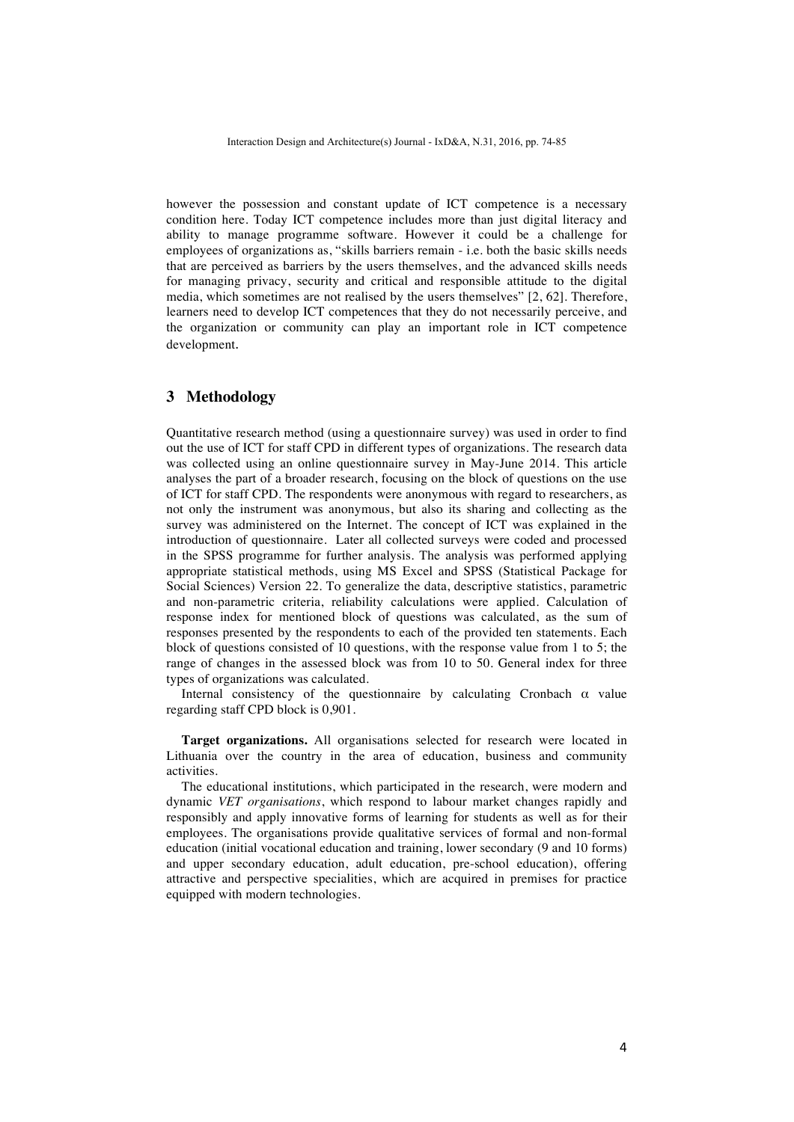however the possession and constant update of ICT competence is a necessary condition here. Today ICT competence includes more than just digital literacy and ability to manage programme software. However it could be a challenge for employees of organizations as, "skills barriers remain - i.e. both the basic skills needs that are perceived as barriers by the users themselves, and the advanced skills needs for managing privacy, security and critical and responsible attitude to the digital media, which sometimes are not realised by the users themselves" [2, 62]. Therefore, learners need to develop ICT competences that they do not necessarily perceive, and the organization or community can play an important role in ICT competence development.

#### **3 Methodology**

Quantitative research method (using a questionnaire survey) was used in order to find out the use of ICT for staff CPD in different types of organizations. The research data was collected using an online questionnaire survey in May-June 2014. This article analyses the part of a broader research, focusing on the block of questions on the use of ICT for staff CPD. The respondents were anonymous with regard to researchers, as not only the instrument was anonymous, but also its sharing and collecting as the survey was administered on the Internet. The concept of ICT was explained in the introduction of questionnaire. Later all collected surveys were coded and processed in the SPSS programme for further analysis. The analysis was performed applying appropriate statistical methods, using MS Excel and SPSS (Statistical Package for Social Sciences) Version 22. To generalize the data, descriptive statistics, parametric and non-parametric criteria, reliability calculations were applied. Calculation of response index for mentioned block of questions was calculated, as the sum of responses presented by the respondents to each of the provided ten statements. Each block of questions consisted of 10 questions, with the response value from 1 to 5; the range of changes in the assessed block was from 10 to 50. General index for three types of organizations was calculated.

Internal consistency of the questionnaire by calculating Cronbach  $\alpha$  value regarding staff CPD block is 0,901.

**Target organizations.** All organisations selected for research were located in Lithuania over the country in the area of education, business and community activities.

The educational institutions, which participated in the research, were modern and dynamic *VET organisations*, which respond to labour market changes rapidly and responsibly and apply innovative forms of learning for students as well as for their employees. The organisations provide qualitative services of formal and non-formal education (initial vocational education and training, lower secondary (9 and 10 forms) and upper secondary education, adult education, pre-school education), offering attractive and perspective specialities, which are acquired in premises for practice equipped with modern technologies.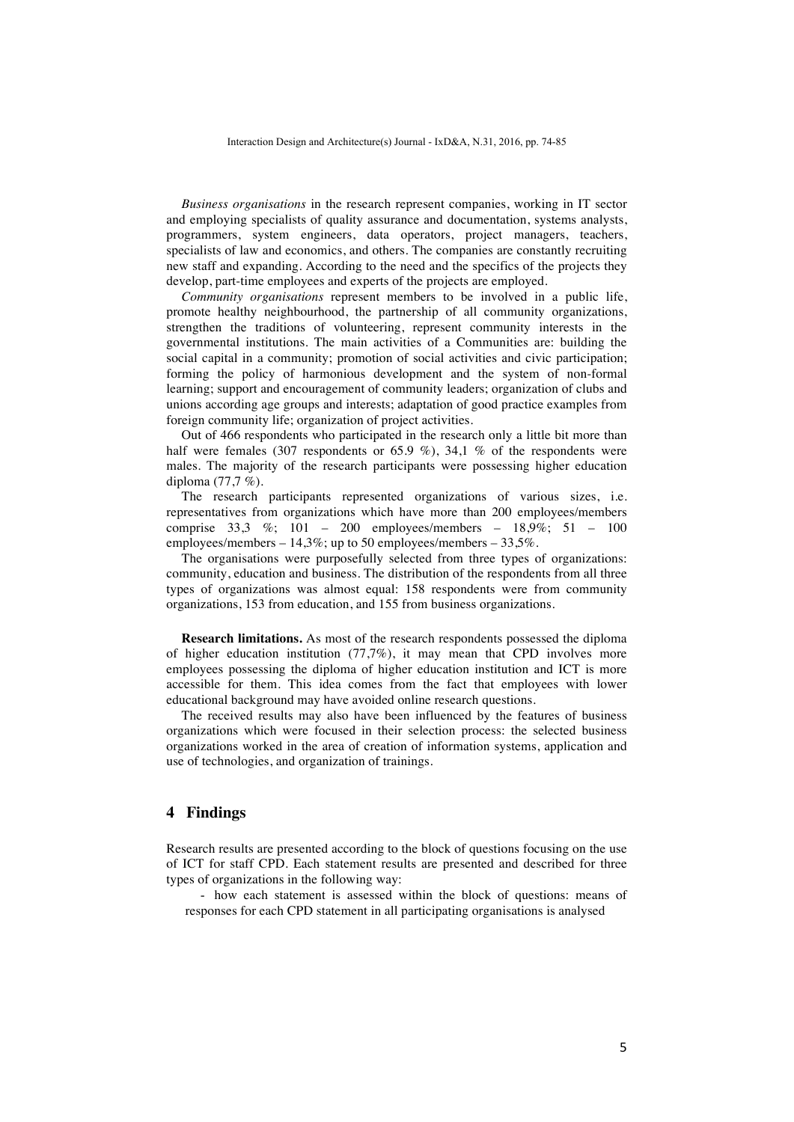*Business organisations* in the research represent companies, working in IT sector and employing specialists of quality assurance and documentation, systems analysts, programmers, system engineers, data operators, project managers, teachers, specialists of law and economics, and others. The companies are constantly recruiting new staff and expanding. According to the need and the specifics of the projects they develop, part-time employees and experts of the projects are employed.

*Community organisations* represent members to be involved in a public life, promote healthy neighbourhood, the partnership of all community organizations, strengthen the traditions of volunteering, represent community interests in the governmental institutions. The main activities of a Communities are: building the social capital in a community; promotion of social activities and civic participation; forming the policy of harmonious development and the system of non-formal learning; support and encouragement of community leaders; organization of clubs and unions according age groups and interests; adaptation of good practice examples from foreign community life; organization of project activities.

Out of 466 respondents who participated in the research only a little bit more than half were females (307 respondents or 65.9 %), 34,1 % of the respondents were males. The majority of the research participants were possessing higher education diploma (77,7 %).

The research participants represented organizations of various sizes, i.e. representatives from organizations which have more than 200 employees/members comprise 33,3 %; 101 – 200 employees/members – 18,9%; 51 – 100 employees/members  $-14,3\%$ ; up to 50 employees/members  $-33,5\%$ .

The organisations were purposefully selected from three types of organizations: community, education and business. The distribution of the respondents from all three types of organizations was almost equal: 158 respondents were from community organizations, 153 from education, and 155 from business organizations.

**Research limitations.** As most of the research respondents possessed the diploma of higher education institution (77,7%), it may mean that CPD involves more employees possessing the diploma of higher education institution and ICT is more accessible for them. This idea comes from the fact that employees with lower educational background may have avoided online research questions.

The received results may also have been influenced by the features of business organizations which were focused in their selection process: the selected business organizations worked in the area of creation of information systems, application and use of technologies, and organization of trainings.

# **4 Findings**

Research results are presented according to the block of questions focusing on the use of ICT for staff CPD. Each statement results are presented and described for three types of organizations in the following way:

- how each statement is assessed within the block of questions: means of responses for each CPD statement in all participating organisations is analysed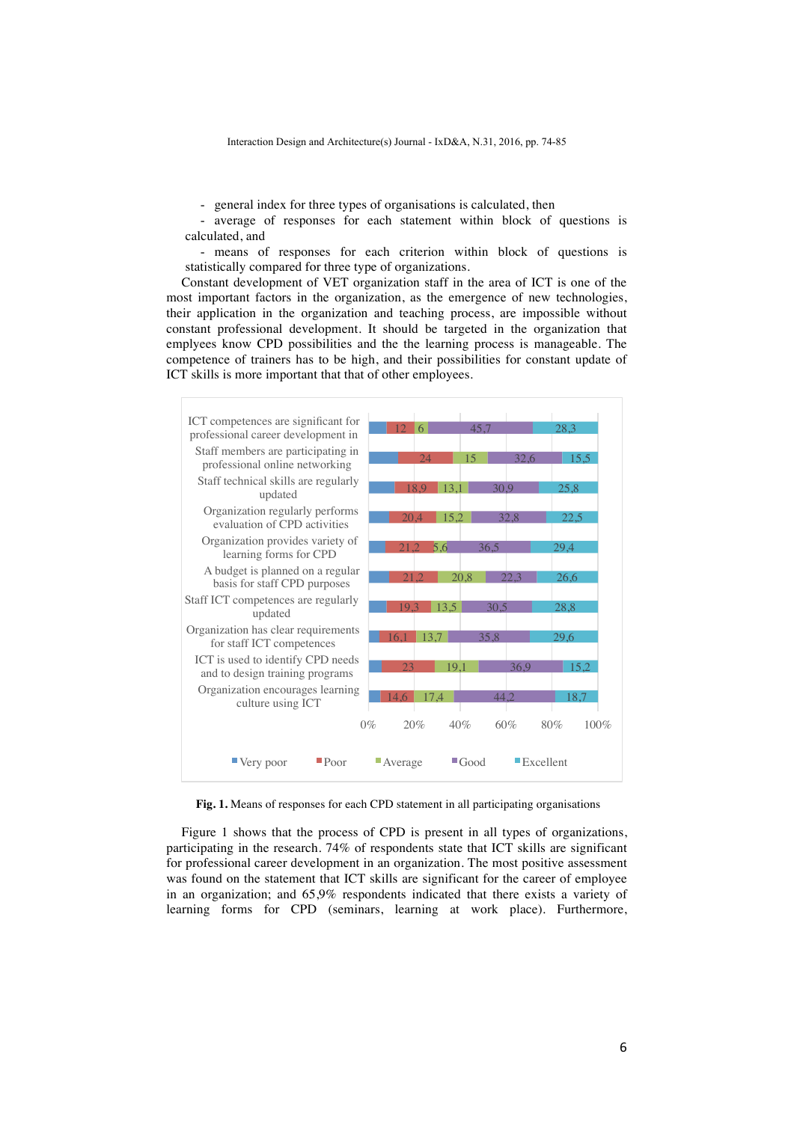- general index for three types of organisations is calculated, then

- average of responses for each statement within block of questions is calculated, and

- means of responses for each criterion within block of questions is statistically compared for three type of organizations.

Constant development of VET organization staff in the area of ICT is one of the most important factors in the organization, as the emergence of new technologies, their application in the organization and teaching process, are impossible without constant professional development. It should be targeted in the organization that emplyees know CPD possibilities and the the learning process is manageable. The competence of trainers has to be high, and their possibilities for constant update of ICT skills is more important that that of other employees.



**Fig. 1.** Means of responses for each CPD statement in all participating organisations

Figure 1 shows that the process of CPD is present in all types of organizations, participating in the research. 74% of respondents state that ICT skills are significant for professional career development in an organization. The most positive assessment was found on the statement that ICT skills are significant for the career of employee in an organization; and 65,9% respondents indicated that there exists a variety of learning forms for CPD (seminars, learning at work place). Furthermore,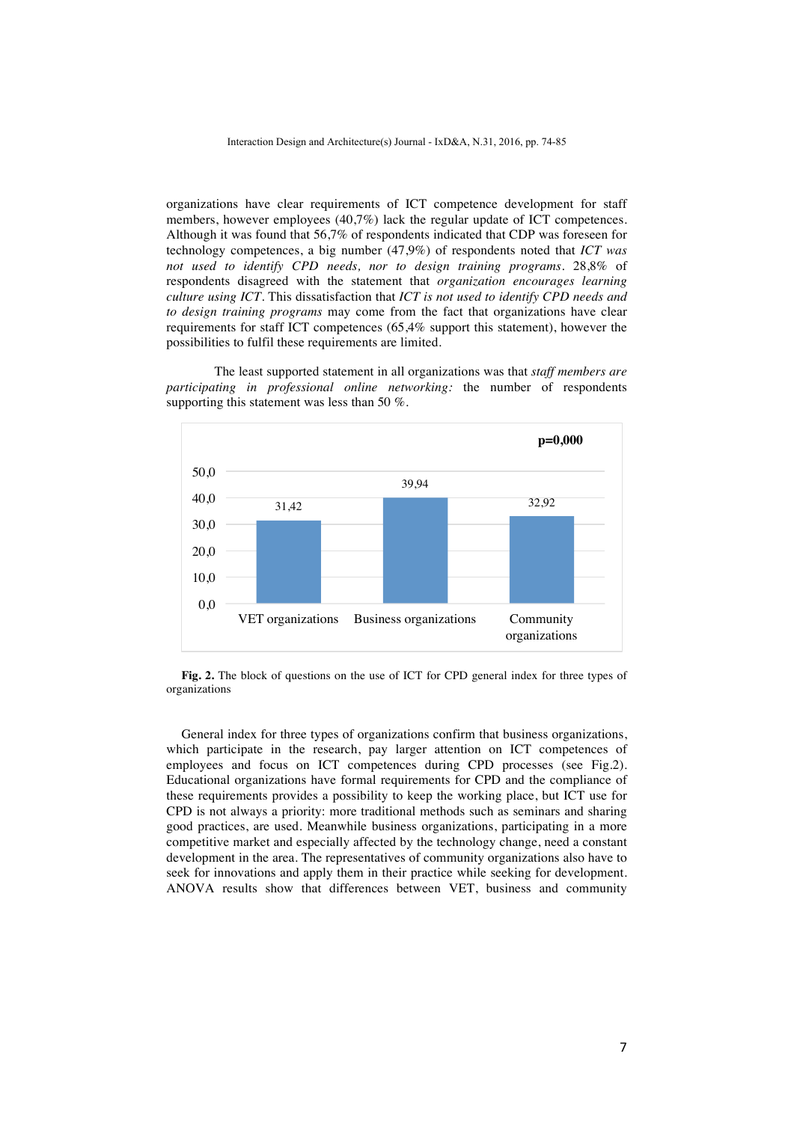organizations have clear requirements of ICT competence development for staff members, however employees (40,7%) lack the regular update of ICT competences. Although it was found that 56,7% of respondents indicated that CDP was foreseen for technology competences, a big number (47,9%) of respondents noted that *ICT was not used to identify CPD needs, nor to design training programs*. 28,8% of respondents disagreed with the statement that *organization encourages learning culture using ICT*. This dissatisfaction that *ICT is not used to identify CPD needs and to design training programs* may come from the fact that organizations have clear requirements for staff ICT competences (65,4% support this statement), however the possibilities to fulfil these requirements are limited.

The least supported statement in all organizations was that *staff members are participating in professional online networking:* the number of respondents supporting this statement was less than 50 %.



**Fig. 2.** The block of questions on the use of ICT for CPD general index for three types of organizations

General index for three types of organizations confirm that business organizations, which participate in the research, pay larger attention on ICT competences of employees and focus on ICT competences during CPD processes (see Fig.2). Educational organizations have formal requirements for CPD and the compliance of these requirements provides a possibility to keep the working place, but ICT use for CPD is not always a priority: more traditional methods such as seminars and sharing good practices, are used. Meanwhile business organizations, participating in a more competitive market and especially affected by the technology change, need a constant development in the area. The representatives of community organizations also have to seek for innovations and apply them in their practice while seeking for development. ANOVA results show that differences between VET, business and community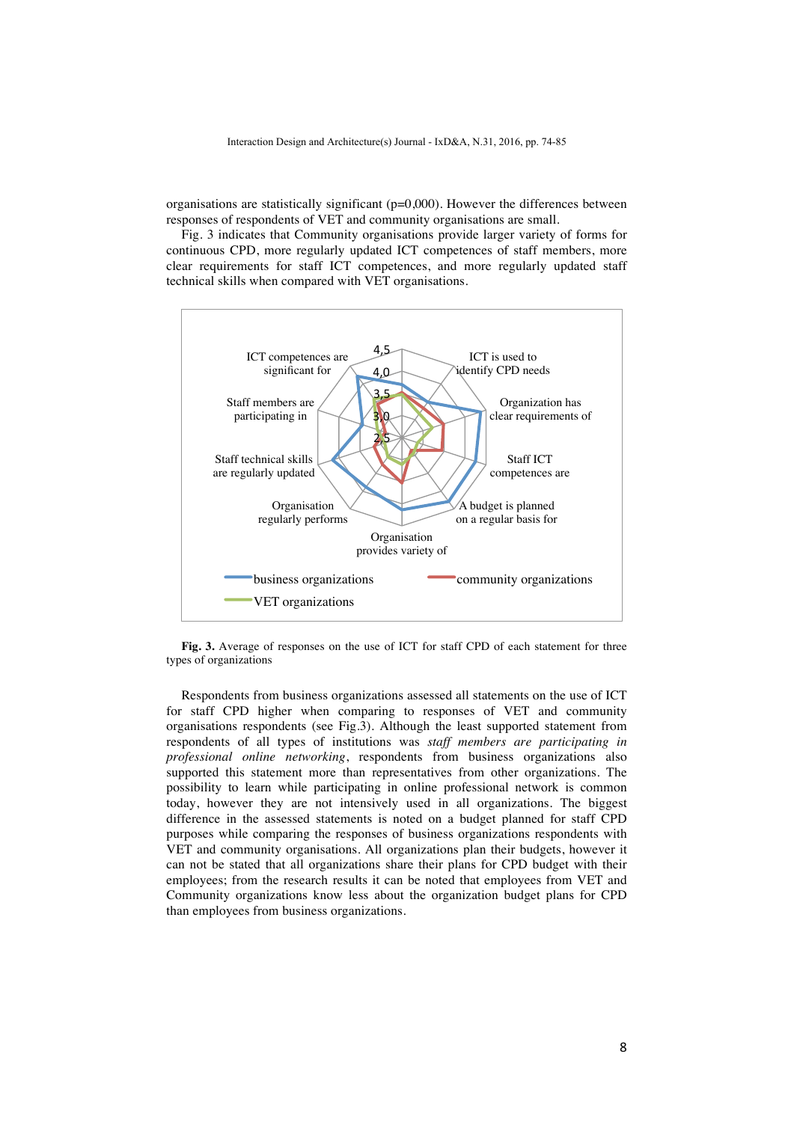organisations are statistically significant ( $p=0,000$ ). However the differences between responses of respondents of VET and community organisations are small.

Fig. 3 indicates that Community organisations provide larger variety of forms for continuous CPD, more regularly updated ICT competences of staff members, more clear requirements for staff ICT competences, and more regularly updated staff technical skills when compared with VET organisations.



**Fig. 3.** Average of responses on the use of ICT for staff CPD of each statement for three types of organizations

Respondents from business organizations assessed all statements on the use of ICT for staff CPD higher when comparing to responses of VET and community organisations respondents (see Fig.3). Although the least supported statement from respondents of all types of institutions was *staff members are participating in professional online networking*, respondents from business organizations also supported this statement more than representatives from other organizations. The possibility to learn while participating in online professional network is common today, however they are not intensively used in all organizations. The biggest difference in the assessed statements is noted on a budget planned for staff CPD purposes while comparing the responses of business organizations respondents with VET and community organisations. All organizations plan their budgets, however it can not be stated that all organizations share their plans for CPD budget with their employees; from the research results it can be noted that employees from VET and Community organizations know less about the organization budget plans for CPD than employees from business organizations.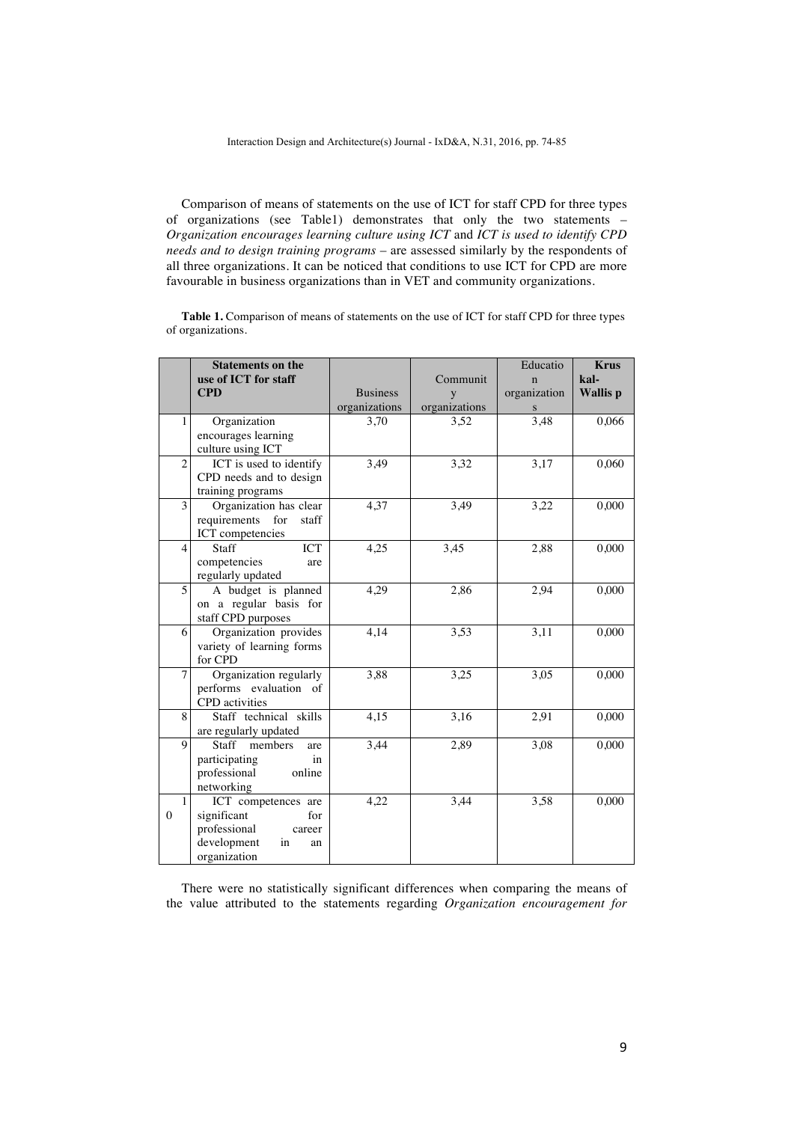Comparison of means of statements on the use of ICT for staff CPD for three types of organizations (see Table1) demonstrates that only the two statements – *Organization encourages learning culture using ICT* and *ICT is used to identify CPD needs and to design training programs* – are assessed similarly by the respondents of all three organizations. It can be noticed that conditions to use ICT for CPD are more favourable in business organizations than in VET and community organizations.

Table 1. Comparison of means of statements on the use of ICT for staff CPD for three types of organizations.

|                              | <b>Statements on the</b><br>use of ICT for staff                                                               |                 | Communit      | Educatio<br>$\mathbf n$ | <b>Krus</b><br>kal- |
|------------------------------|----------------------------------------------------------------------------------------------------------------|-----------------|---------------|-------------------------|---------------------|
|                              | <b>CPD</b>                                                                                                     | <b>Business</b> | y             | organization            | <b>Wallis</b> p     |
|                              |                                                                                                                | organizations   | organizations | S                       |                     |
| $\mathbf{1}$                 | Organization<br>encourages learning<br>culture using ICT                                                       | 3,70            | 3,52          | 3,48                    | 0,066               |
| $\overline{c}$               | ICT is used to identify<br>CPD needs and to design<br>training programs                                        | 3,49            | 3,32          | 3,17                    | 0,060               |
| 3                            | Organization has clear<br>requirements<br>for<br>staff<br>ICT competencies                                     | 4,37            | 3,49          | 3,22                    | 0,000               |
| $\overline{4}$               | Staff<br>ICT<br>competencies<br>are<br>regularly updated                                                       | 4,25            | 3,45          | 2,88                    | 0,000               |
| 5                            | A budget is planned<br>on a regular basis for<br>staff CPD purposes                                            | 4,29            | 2,86          | 2,94                    | 0,000               |
| 6                            | Organization provides<br>variety of learning forms<br>for CPD                                                  | 4,14            | 3,53          | 3,11                    | 0,000               |
| 7                            | Organization regularly<br>performs evaluation of<br><b>CPD</b> activities                                      | 3,88            | 3,25          | 3,05                    | 0,000               |
| 8                            | Staff technical skills<br>are regularly updated                                                                | 4,15            | 3,16          | 2.91                    | 0,000               |
| $\mathbf Q$                  | Staff<br>members<br>are<br>participating<br>in<br>professional<br>online<br>networking                         | 3,44            | 2,89          | 3,08                    | 0,000               |
| $\mathbf{1}$<br>$\mathbf{0}$ | ICT competences are<br>significant<br>for<br>professional<br>career<br>development<br>in<br>an<br>organization | 4,22            | 3,44          | 3,58                    | 0,000               |

There were no statistically significant differences when comparing the means of the value attributed to the statements regarding *Organization encouragement for*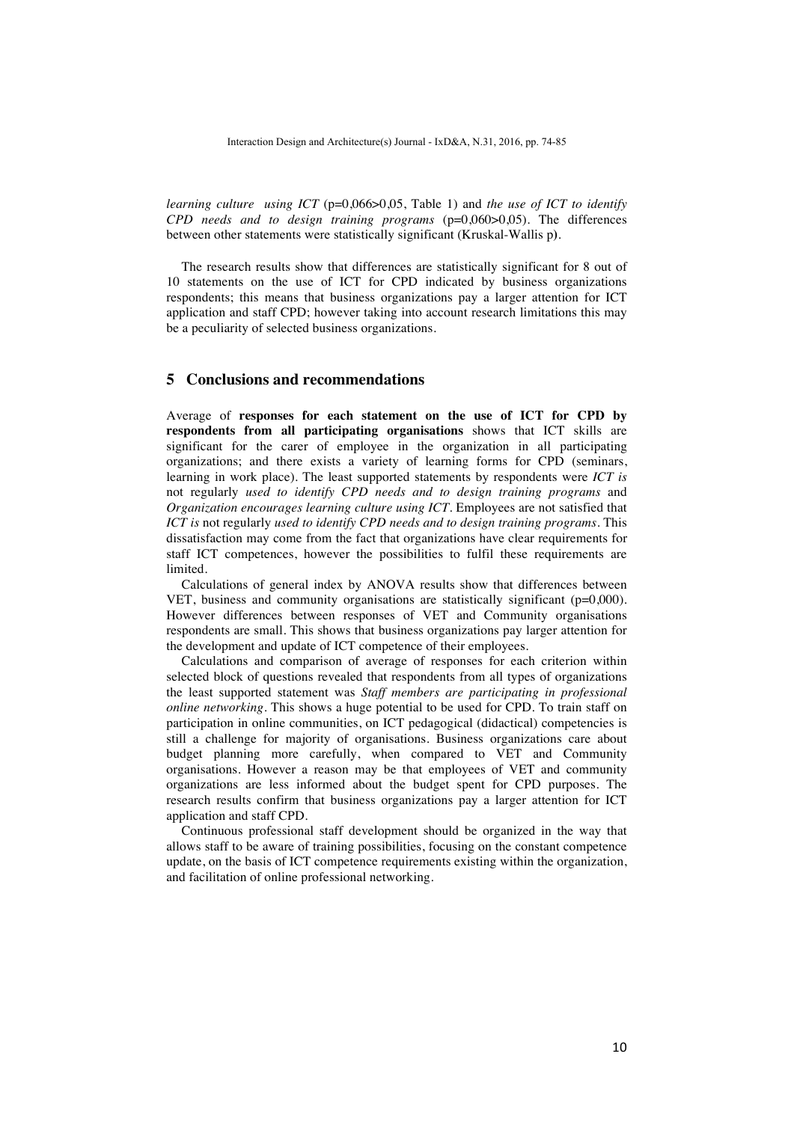*learning culture using ICT* ( $p=0.066>0.05$ , Table 1) and *the use of ICT to identify CPD needs and to design training programs* (p=0,060>0,05). The differences between other statements were statistically significant (Kruskal-Wallis p**)**.

The research results show that differences are statistically significant for 8 out of 10 statements on the use of ICT for CPD indicated by business organizations respondents; this means that business organizations pay a larger attention for ICT application and staff CPD; however taking into account research limitations this may be a peculiarity of selected business organizations.

# **5 Conclusions and recommendations**

Average of **responses for each statement on the use of ICT for CPD by respondents from all participating organisations** shows that ICT skills are significant for the carer of employee in the organization in all participating organizations; and there exists a variety of learning forms for CPD (seminars, learning in work place). The least supported statements by respondents were *ICT is*  not regularly *used to identify CPD needs and to design training programs* and *Organization encourages learning culture using ICT*. Employees are not satisfied that *ICT is* not regularly *used to identify CPD needs and to design training programs*. This dissatisfaction may come from the fact that organizations have clear requirements for staff ICT competences, however the possibilities to fulfil these requirements are limited.

Calculations of general index by ANOVA results show that differences between VET, business and community organisations are statistically significant (p=0,000). However differences between responses of VET and Community organisations respondents are small. This shows that business organizations pay larger attention for the development and update of ICT competence of their employees.

Calculations and comparison of average of responses for each criterion within selected block of questions revealed that respondents from all types of organizations the least supported statement was *Staff members are participating in professional online networking*. This shows a huge potential to be used for CPD. To train staff on participation in online communities, on ICT pedagogical (didactical) competencies is still a challenge for majority of organisations. Business organizations care about budget planning more carefully, when compared to VET and Community organisations. However a reason may be that employees of VET and community organizations are less informed about the budget spent for CPD purposes. The research results confirm that business organizations pay a larger attention for ICT application and staff CPD.

Continuous professional staff development should be organized in the way that allows staff to be aware of training possibilities, focusing on the constant competence update, on the basis of ICT competence requirements existing within the organization, and facilitation of online professional networking.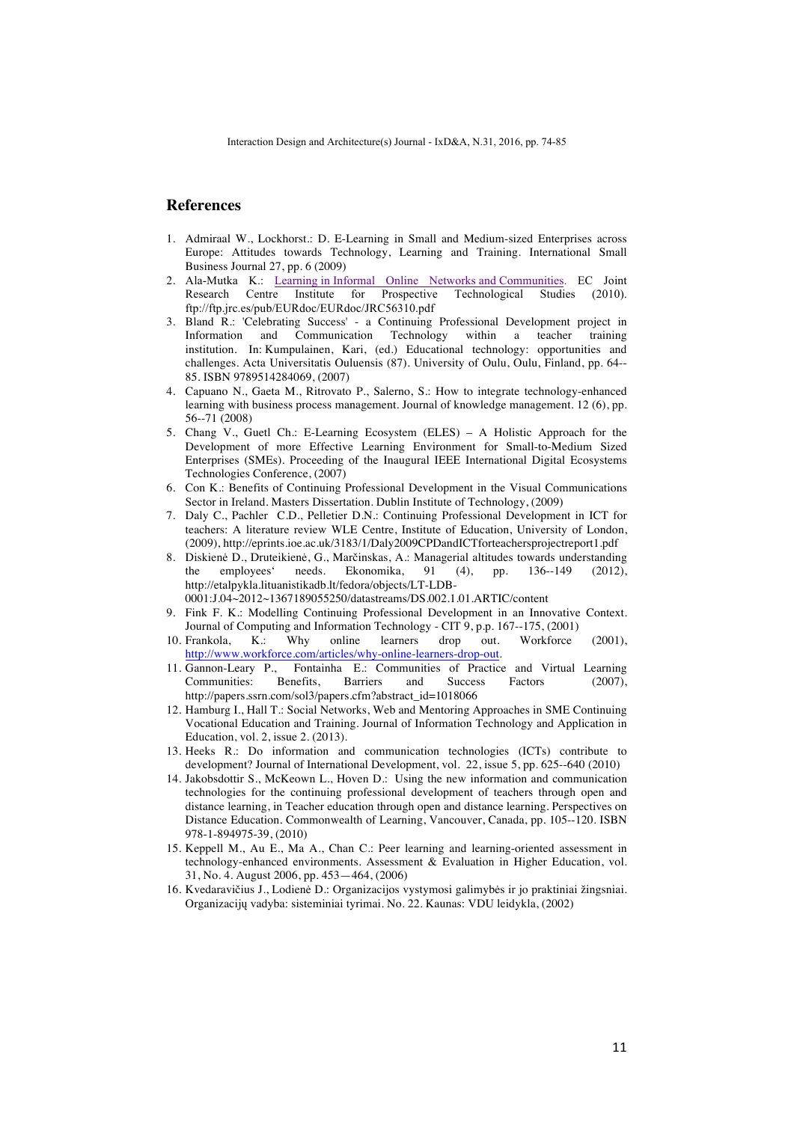# **References**

- 1. Admiraal W., Lockhorst.: D. E-Learning in Small and Medium-sized Enterprises across Europe: Attitudes towards Technology, Learning and Training. International Small Business Journal 27, pp. 6 (2009)
- 2. Ala-Mutka K.: Learning in Informal Online Networks and Communities. EC Joint Research Centre Institute for Prospective Technological Studies (2010). Research Centre Institute for Prospective Technological Studies ftp://ftp.jrc.es/pub/EURdoc/EURdoc/JRC56310.pdf
- 3. Bland R.: 'Celebrating Success' a Continuing Professional Development project in Information and Communication Technology within a teacher training institution*.* In: Kumpulainen, Kari, (ed.) Educational technology: opportunities and challenges. Acta Universitatis Ouluensis (87). University of Oulu, Oulu, Finland, pp. 64-- 85. ISBN 9789514284069, (2007)
- 4. Capuano N., Gaeta M., Ritrovato P., Salerno, S.: How to integrate technology-enhanced learning with business process management. Journal of knowledge management. 12 (6), pp. 56--71 (2008)
- 5. Chang V., Guetl Ch.: E-Learning Ecosystem (ELES) A Holistic Approach for the Development of more Effective Learning Environment for Small-to-Medium Sized Enterprises (SMEs). Proceeding of the Inaugural IEEE International Digital Ecosystems Technologies Conference, (2007)
- 6. Con K.: Benefits of Continuing Professional Development in the Visual Communications Sector in Ireland. Masters Dissertation. Dublin Institute of Technology, (2009)
- 7. Daly C., Pachler C.D., Pelletier D.N.: Continuing Professional Development in ICT for teachers: A literature review WLE Centre, Institute of Education, University of London, (2009), http://eprints.ioe.ac.uk/3183/1/Daly2009CPDandICTforteachersprojectreport1.pdf
- 8. Diskienė D., Druteikienė, G., Marčinskas, A.: Managerial altitudes towards understanding the employees' needs. Ekonomika, 91 (4), pp. 136--149 (2012), http://etalpykla.lituanistikadb.lt/fedora/objects/LT-LDB-0001:J.04~2012~1367189055250/datastreams/DS.002.1.01.ARTIC/content
- 9. Fink F. K.: Modelling Continuing Professional Development in an Innovative Context. Journal of Computing and Information Technology - CIT 9, p.p. 167--175, (2001)
- 10. Frankola, K.: Why online learners drop out. Workforce (2001), http://www.workforce.com/articles/why-online-learners-drop-out.
- 11. Gannon-Leary P., Fontainha E.: Communities of Practice and Virtual Learning Communities: Benefits, Barriers and Success Factors (2007), http://papers.ssrn.com/sol3/papers.cfm?abstract\_id=1018066
- 12. Hamburg I., Hall T.: Social Networks, Web and Mentoring Approaches in SME Continuing Vocational Education and Training. Journal of Information Technology and Application in Education, vol. 2, issue 2. (2013).
- 13. Heeks R.: Do information and communication technologies (ICTs) contribute to development? Journal of International Development, vol. 22, issue 5, pp. 625--640 (2010)
- 14. Jakobsdottir S., McKeown L., Hoven D.: Using the new information and communication technologies for the continuing professional development of teachers through open and distance learning, in Teacher education through open and distance learning. Perspectives on Distance Education. Commonwealth of Learning, Vancouver, Canada, pp. 105--120. ISBN 978-1-894975-39, (2010)
- 15. Keppell M., Au E., Ma A., Chan C.: Peer learning and learning-oriented assessment in technology-enhanced environments. Assessment & Evaluation in Higher Education, vol. 31, No. 4. August 2006, pp. 453—464, (2006)
- 16. Kvedaravičius J., Lodienė D.: Organizacijos vystymosi galimybės ir jo praktiniai žingsniai. Organizacijų vadyba: sisteminiai tyrimai. No. 22. Kaunas: VDU leidykla, (2002)